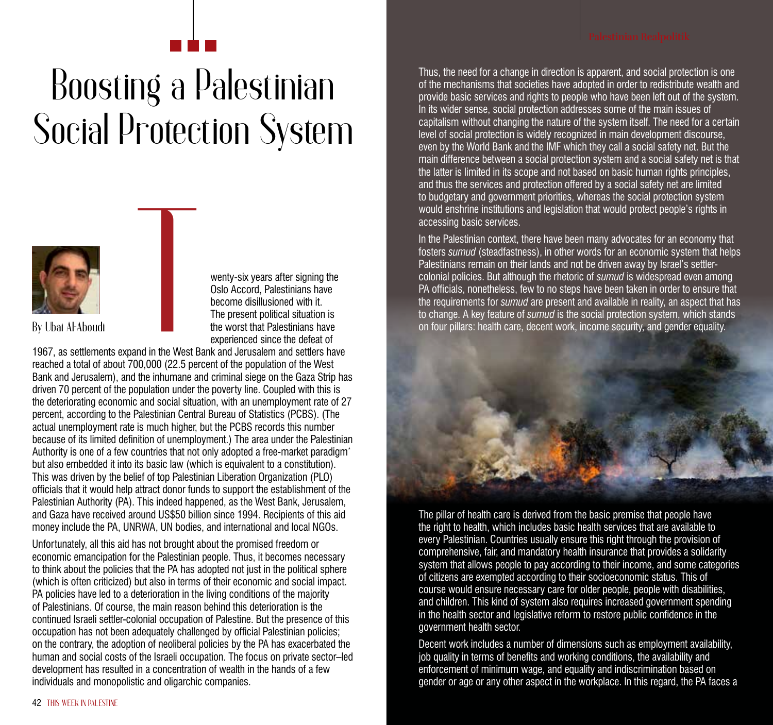## Boosting a Palestinian Social Protection System



wenty-six years after signing the Oslo Accord, Palestinians have become disillusioned with it. The present political situation is the worst that Palestinians have experienced since the defeat of

1967, as settlements expand in the West Bank and Jerusalem and settlers have reached a total of about 700,000 (22.5 percent of the population of the West Bank and Jerusalem), and the inhumane and criminal siege on the Gaza Strip has driven 70 percent of the population under the poverty line. Coupled with this is the deteriorating economic and social situation, with an unemployment rate of 27 percent, according to the Palestinian Central Bureau of Statistics (PCBS). (The actual unemployment rate is much higher, but the PCBS records this number because of its limited definition of unemployment.) The area under the Palestinian Authority is one of a few countries that not only adopted a free-market paradigm\* but also embedded it into its basic law (which is equivalent to a constitution). This was driven by the belief of top Palestinian Liberation Organization (PLO) officials that it would help attract donor funds to support the establishment of the Palestinian Authority (PA). This indeed happened, as the West Bank, Jerusalem, and Gaza have received around US\$50 billion since 1994. Recipients of this aid money include the PA, UNRWA, UN bodies, and international and local NGOs.

Unfortunately, all this aid has not brought about the promised freedom or economic emancipation for the Palestinian people. Thus, it becomes necessary to think about the policies that the PA has adopted not just in the political sphere (which is often criticized) but also in terms of their economic and social impact. PA policies have led to a deterioration in the living conditions of the majority of Palestinians. Of course, the main reason behind this deterioration is the continued Israeli settler-colonial occupation of Palestine. But the presence of this occupation has not been adequately challenged by official Palestinian policies; on the contrary, the adoption of neoliberal policies by the PA has exacerbated the human and social costs of the Israeli occupation. The focus on private sector–led development has resulted in a concentration of wealth in the hands of a few individuals and monopolistic and oligarchic companies.

Thus, the need for a change in direction is apparent, and social protection is one of the mechanisms that societies have adopted in order to redistribute wealth and provide basic services and rights to people who have been left out of the system. In its wider sense, social protection addresses some of the main issues of capitalism without changing the nature of the system itself. The need for a certain level of social protection is widely recognized in main development discourse, even by the World Bank and the IMF which they call a social safety net. But the main difference between a social protection system and a social safety net is that the latter is limited in its scope and not based on basic human rights principles, and thus the services and protection offered by a social safety net are limited to budgetary and government priorities, whereas the social protection system would enshrine institutions and legislation that would protect people's rights in accessing basic services.

In the Palestinian context, there have been many advocates for an economy that fosters *sumud* (steadfastness), in other words for an economic system that helps Palestinians remain on their lands and not be driven away by Israel's settlercolonial policies. But although the rhetoric of *sumud* is widespread even among PA officials, nonetheless, few to no steps have been taken in order to ensure that the requirements for *sumud* are present and available in reality, an aspect that has to change. A key feature of *sumud* is the social protection system, which stands on four pillars: health care, decent work, income security, and gender equality.



The pillar of health care is derived from the basic premise that people have the right to health, which includes basic health services that are available to every Palestinian. Countries usually ensure this right through the provision of comprehensive, fair, and mandatory health insurance that provides a solidarity system that allows people to pay according to their income, and some categories of citizens are exempted according to their socioeconomic status. This of course would ensure necessary care for older people, people with disabilities, and children. This kind of system also requires increased government spending in the health sector and legislative reform to restore public confidence in the government health sector.

Decent work includes a number of dimensions such as employment availability, job quality in terms of benefits and working conditions, the availability and enforcement of minimum wage, and equality and indiscrimination based on gender or age or any other aspect in the workplace. In this regard, the PA faces a